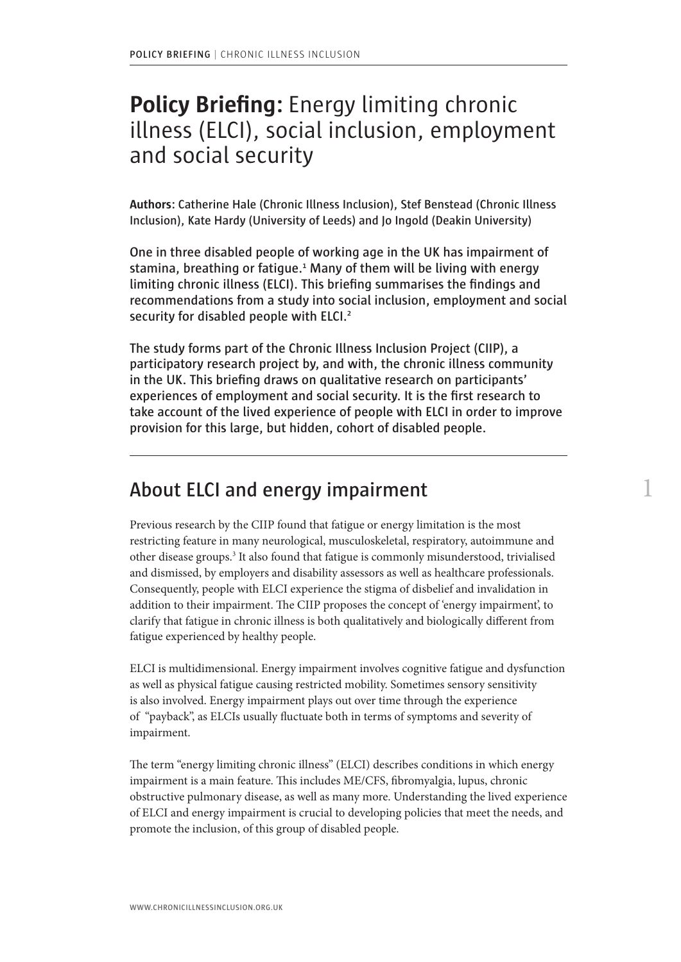# **Policy Briefing:** Energy limiting chronic illness (ELCI), social inclusion, employment and social security

**Authors: Catherine Hale (Chronic Illness Inclusion), Stef Benstead (Chronic Illness Inclusion), Kate Hardy (University of Leeds) and Jo Ingold (Deakin University)**

**One in three disabled people of working age in the UK has impairment of stamina, breathing or fatigue.1 Many of them will be living with energy limiting chronic illness (ELCI). This briefing summarises the findings and recommendations from a study into social inclusion, employment and social security for disabled people with ELCI.2**

**The study forms part of the Chronic Illness Inclusion Project (CIIP), a participatory research project by, and with, the chronic illness community in the UK. This briefing draws on qualitative research on participants' experiences of employment and social security. It is the first research to take account of the lived experience of people with ELCI in order to improve provision for this large, but hidden, cohort of disabled people.**

1

#### **About ELCI and energy impairment**

Previous research by the CIIP found that fatigue or energy limitation is the most restricting feature in many neurological, musculoskeletal, respiratory, autoimmune and other disease groups.<sup>3</sup> It also found that fatigue is commonly misunderstood, trivialised and dismissed, by employers and disability assessors as well as healthcare professionals. Consequently, people with ELCI experience the stigma of disbelief and invalidation in addition to their impairment. The CIIP proposes the concept of 'energy impairment', to clarify that fatigue in chronic illness is both qualitatively and biologically different from fatigue experienced by healthy people.

ELCI is multidimensional. Energy impairment involves cognitive fatigue and dysfunction as well as physical fatigue causing restricted mobility. Sometimes sensory sensitivity is also involved. Energy impairment plays out over time through the experience of "payback", as ELCIs usually fluctuate both in terms of symptoms and severity of impairment.

The term "energy limiting chronic illness" (ELCI) describes conditions in which energy impairment is a main feature. This includes ME/CFS, fibromyalgia, lupus, chronic obstructive pulmonary disease, as well as many more. Understanding the lived experience of ELCI and energy impairment is crucial to developing policies that meet the needs, and promote the inclusion, of this group of disabled people.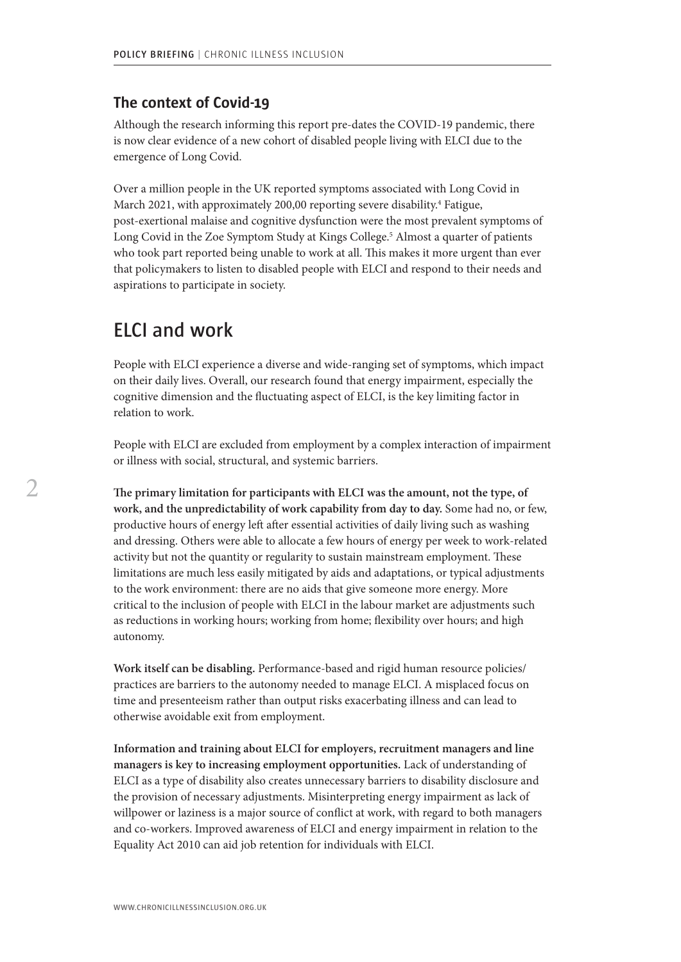#### **The context of Covid-19**

Although the research informing this report pre-dates the COVID-19 pandemic, there is now clear evidence of a new cohort of disabled people living with ELCI due to the emergence of Long Covid.

Over a million people in the UK reported symptoms associated with Long Covid in March 2021, with approximately 200,00 reporting severe disability.<sup>4</sup> Fatigue, post-exertional malaise and cognitive dysfunction were the most prevalent symptoms of Long Covid in the Zoe Symptom Study at Kings College.<sup>5</sup> Almost a quarter of patients who took part reported being unable to work at all. This makes it more urgent than ever that policymakers to listen to disabled people with ELCI and respond to their needs and aspirations to participate in society.

### **ELCI and work**

People with ELCI experience a diverse and wide-ranging set of symptoms, which impact on their daily lives. Overall, our research found that energy impairment, especially the cognitive dimension and the fluctuating aspect of ELCI, is the key limiting factor in relation to work.

People with ELCI are excluded from employment by a complex interaction of impairment or illness with social, structural, and systemic barriers.

**The primary limitation for participants with ELCI was the amount, not the type, of work, and the unpredictability of work capability from day to day.** Some had no, or few, productive hours of energy left after essential activities of daily living such as washing and dressing. Others were able to allocate a few hours of energy per week to work-related activity but not the quantity or regularity to sustain mainstream employment. These limitations are much less easily mitigated by aids and adaptations, or typical adjustments to the work environment: there are no aids that give someone more energy. More critical to the inclusion of people with ELCI in the labour market are adjustments such as reductions in working hours; working from home; flexibility over hours; and high autonomy.

**Work itself can be disabling.** Performance-based and rigid human resource policies/ practices are barriers to the autonomy needed to manage ELCI. A misplaced focus on time and presenteeism rather than output risks exacerbating illness and can lead to otherwise avoidable exit from employment.

**Information and training about ELCI for employers, recruitment managers and line managers is key to increasing employment opportunities.** Lack of understanding of ELCI as a type of disability also creates unnecessary barriers to disability disclosure and the provision of necessary adjustments. Misinterpreting energy impairment as lack of willpower or laziness is a major source of conflict at work, with regard to both managers and co-workers. Improved awareness of ELCI and energy impairment in relation to the Equality Act 2010 can aid job retention for individuals with ELCI.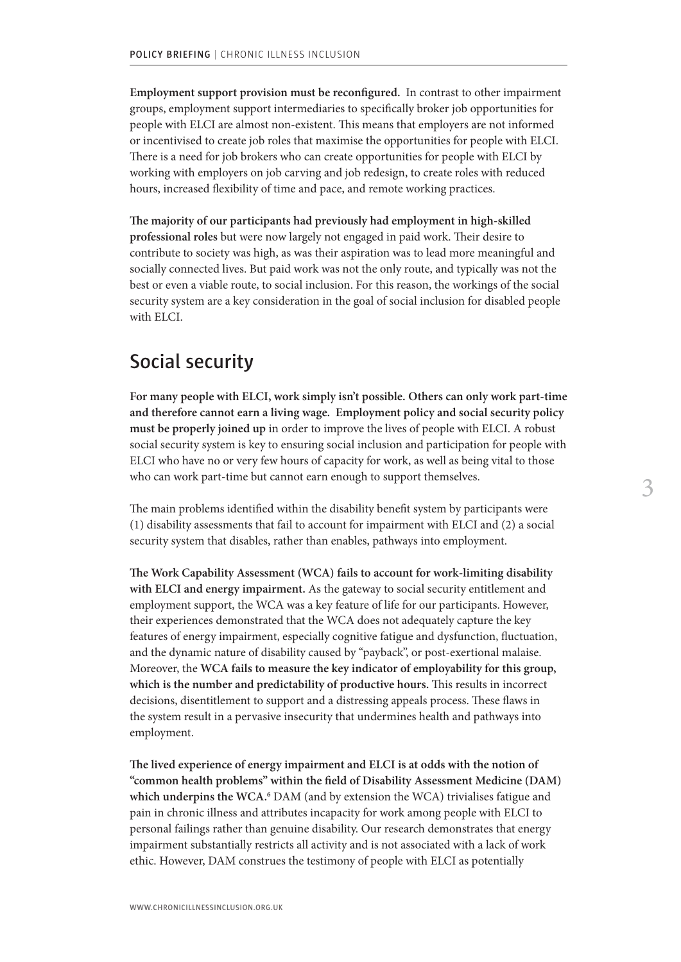**Employment support provision must be reconfigured.** In contrast to other impairment groups, employment support intermediaries to specifically broker job opportunities for people with ELCI are almost non-existent. This means that employers are not informed or incentivised to create job roles that maximise the opportunities for people with ELCI. There is a need for job brokers who can create opportunities for people with ELCI by working with employers on job carving and job redesign, to create roles with reduced hours, increased flexibility of time and pace, and remote working practices.

**The majority of our participants had previously had employment in high-skilled professional roles** but were now largely not engaged in paid work. Their desire to contribute to society was high, as was their aspiration was to lead more meaningful and socially connected lives. But paid work was not the only route, and typically was not the best or even a viable route, to social inclusion. For this reason, the workings of the social security system are a key consideration in the goal of social inclusion for disabled people with ELCI.

### **Social security**

**For many people with ELCI, work simply isn't possible. Others can only work part-time and therefore cannot earn a living wage. Employment policy and social security policy must be properly joined up** in order to improve the lives of people with ELCI. A robust social security system is key to ensuring social inclusion and participation for people with ELCI who have no or very few hours of capacity for work, as well as being vital to those who can work part-time but cannot earn enough to support themselves.

The main problems identified within the disability benefit system by participants were (1) disability assessments that fail to account for impairment with ELCI and (2) a social security system that disables, rather than enables, pathways into employment.

**The Work Capability Assessment (WCA) fails to account for work-limiting disability with ELCI and energy impairment.** As the gateway to social security entitlement and employment support, the WCA was a key feature of life for our participants. However, their experiences demonstrated that the WCA does not adequately capture the key features of energy impairment, especially cognitive fatigue and dysfunction, fluctuation, and the dynamic nature of disability caused by "payback", or post-exertional malaise. Moreover, the **WCA fails to measure the key indicator of employability for this group, which is the number and predictability of productive hours.** This results in incorrect decisions, disentitlement to support and a distressing appeals process. These flaws in the system result in a pervasive insecurity that undermines health and pathways into employment.

**The lived experience of energy impairment and ELCI is at odds with the notion of "common health problems" within the field of Disability Assessment Medicine (DAM)**  which underpins the WCA.<sup>6</sup> DAM (and by extension the WCA) trivialises fatigue and pain in chronic illness and attributes incapacity for work among people with ELCI to personal failings rather than genuine disability. Our research demonstrates that energy impairment substantially restricts all activity and is not associated with a lack of work ethic. However, DAM construes the testimony of people with ELCI as potentially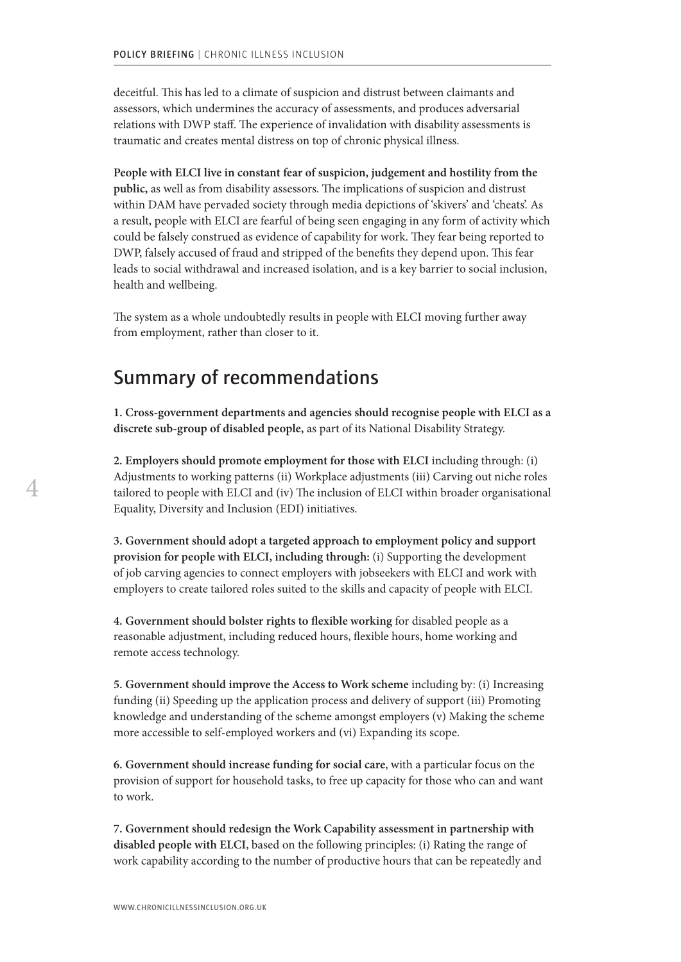deceitful. This has led to a climate of suspicion and distrust between claimants and assessors, which undermines the accuracy of assessments, and produces adversarial relations with DWP staff. The experience of invalidation with disability assessments is traumatic and creates mental distress on top of chronic physical illness.

**People with ELCI live in constant fear of suspicion, judgement and hostility from the public,** as well as from disability assessors. The implications of suspicion and distrust within DAM have pervaded society through media depictions of 'skivers' and 'cheats'. As a result, people with ELCI are fearful of being seen engaging in any form of activity which could be falsely construed as evidence of capability for work. They fear being reported to DWP, falsely accused of fraud and stripped of the benefits they depend upon. This fear leads to social withdrawal and increased isolation, and is a key barrier to social inclusion, health and wellbeing.

The system as a whole undoubtedly results in people with ELCI moving further away from employment, rather than closer to it.

### **Summary of recommendations**

**1. Cross-government departments and agencies should recognise people with ELCI as a discrete sub-group of disabled people,** as part of its National Disability Strategy.

**2. Employers should promote employment for those with ELCI** including through: (i) Adjustments to working patterns (ii) Workplace adjustments (iii) Carving out niche roles tailored to people with ELCI and (iv) The inclusion of ELCI within broader organisational Equality, Diversity and Inclusion (EDI) initiatives.

**3. Government should adopt a targeted approach to employment policy and support provision for people with ELCI, including through:** (i) Supporting the development of job carving agencies to connect employers with jobseekers with ELCI and work with employers to create tailored roles suited to the skills and capacity of people with ELCI.

**4. Government should bolster rights to flexible working** for disabled people as a reasonable adjustment, including reduced hours, flexible hours, home working and remote access technology.

**5. Government should improve the Access to Work scheme** including by: (i) Increasing funding (ii) Speeding up the application process and delivery of support (iii) Promoting knowledge and understanding of the scheme amongst employers (v) Making the scheme more accessible to self-employed workers and (vi) Expanding its scope.

**6. Government should increase funding for social care**, with a particular focus on the provision of support for household tasks, to free up capacity for those who can and want to work.

**7. Government should redesign the Work Capability assessment in partnership with disabled people with ELCI**, based on the following principles: (i) Rating the range of work capability according to the number of productive hours that can be repeatedly and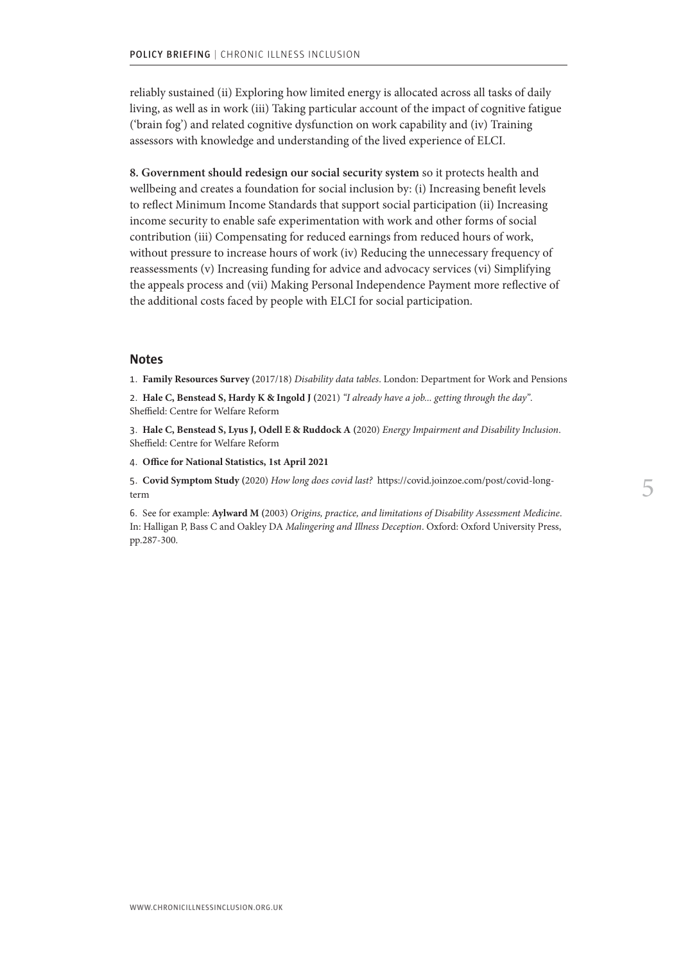reliably sustained (ii) Exploring how limited energy is allocated across all tasks of daily living, as well as in work (iii) Taking particular account of the impact of cognitive fatigue ('brain fog') and related cognitive dysfunction on work capability and (iv) Training assessors with knowledge and understanding of the lived experience of ELCI.

**8. Government should redesign our social security system** so it protects health and wellbeing and creates a foundation for social inclusion by: (i) Increasing benefit levels to reflect Minimum Income Standards that support social participation (ii) Increasing income security to enable safe experimentation with work and other forms of social contribution (iii) Compensating for reduced earnings from reduced hours of work, without pressure to increase hours of work (iv) Reducing the unnecessary frequency of reassessments (v) Increasing funding for advice and advocacy services (vi) Simplifying the appeals process and (vii) Making Personal Independence Payment more reflective of the additional costs faced by people with ELCI for social participation.

#### **Notes**

1. **Family Resources Survey (**2017/18) *Disability data tables*. London: Department for Work and Pensions

2. **Hale C, Benstead S, Hardy K & Ingold J (**2021) *"I already have a job... getting through the day"*. Sheffield: Centre for Welfare Reform

3. **Hale C, Benstead S, Lyus J, Odell E & Ruddock A (**2020) *Energy Impairment and Disability Inclusion*. Sheffield: Centre for Welfare Reform

4. **Office for National Statistics, 1st April 2021**

5. **Covid Symptom Study (**2020) *How long does covid last?* https://covid.joinzoe.com/post/covid-longterm

6. See for example: **Aylward M (**2003) *Origins, practice, and limitations of Disability Assessment Medicine*. In: Halligan P, Bass C and Oakley DA *Malingering and Illness Deception*. Oxford: Oxford University Press, pp.287-300.